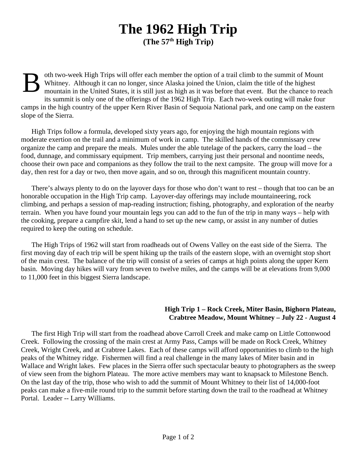## **The 1962 High Trip (The 57th High Trip)**

B oth two-week High Trips will offer each member the option of a trail climb to the summit of Mount Whitney. Although it can no longer, since Alaska joined the Union, claim the title of the highest mountain in the United States, it is still just as high as it was before that event. But the chance to reach its summit is only one of the offerings of the 1962 High Trip. Each two-week outing will make four camps in the high country of the upper Kern River Basin of Sequoia National park, and one camp on the eastern slope of the Sierra.

High Trips follow a formula, developed sixty years ago, for enjoying the high mountain regions with moderate exertion on the trail and a minimum of work in camp. The skilled hands of the commissary crew organize the camp and prepare the meals. Mules under the able tutelage of the packers, carry the load – the food, dunnage, and commissary equipment. Trip members, carrying just their personal and noontime needs, choose their own pace and companions as they follow the trail to the next campsite. The group will move for a day, then rest for a day or two, then move again, and so on, through this magnificent mountain country.

There's always plenty to do on the layover days for those who don't want to rest – though that too can be an honorable occupation in the High Trip camp. Layover-day offerings may include mountaineering, rock climbing, and perhaps a session of map-reading instruction; fishing, photography, and exploration of the nearby terrain. When you have found your mountain legs you can add to the fun of the trip in many ways – help with the cooking, prepare a campfire skit, lend a hand to set up the new camp, or assist in any number of duties required to keep the outing on schedule.

The High Trips of 1962 will start from roadheads out of Owens Valley on the east side of the Sierra. The first moving day of each trip will be spent hiking up the trails of the eastern slope, with an overnight stop short of the main crest. The balance of the trip will consist of a series of camps at high points along the upper Kern basin. Moving day hikes will vary from seven to twelve miles, and the camps will be at elevations from 9,000 to 11,000 feet in this biggest Sierra landscape.

## **High Trip 1 – Rock Creek, Miter Basin, Bighorn Plateau, Crabtree Meadow, Mount Whitney – July 22 - August 4**

The first High Trip will start from the roadhead above Carroll Creek and make camp on Little Cottonwood Creek. Following the crossing of the main crest at Army Pass, Camps will be made on Rock Creek, Whitney Creek, Wright Creek, and at Crabtree Lakes. Each of these camps will afford opportunities to climb to the high peaks of the Whitney ridge. Fishermen will find a real challenge in the many lakes of Miter basin and in Wallace and Wright lakes. Few places in the Sierra offer such spectacular beauty to photographers as the sweep of view seen from the bighorn Plateau. The more active members may want to knapsack to Milestone Bench. On the last day of the trip, those who wish to add the summit of Mount Whitney to their list of 14,000-foot peaks can make a five-mile round trip to the summit before starting down the trail to the roadhead at Whitney Portal. Leader -- Larry Williams.